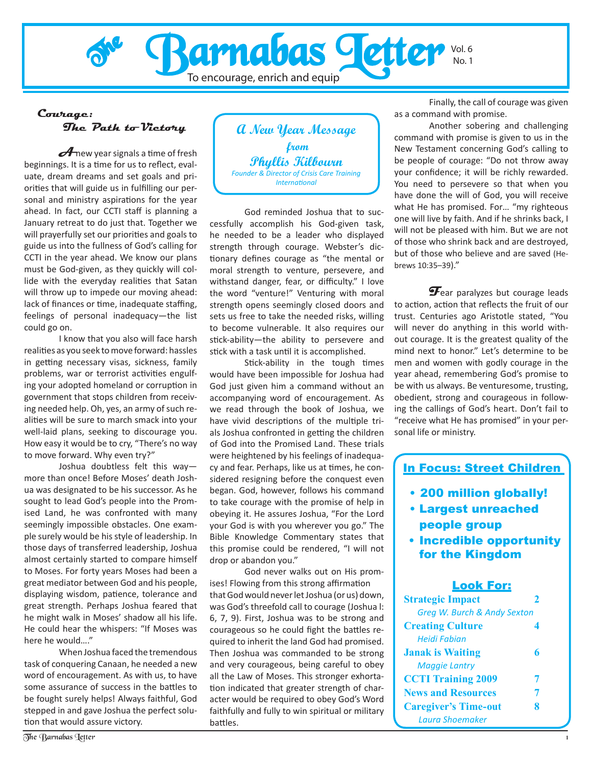

#### **Courage: The Path to Victory**

**A** new year signals a time of fresh beginnings. It is a time for us to reflect, evaluate, dream dreams and set goals and priorities that will guide us in fulfilling our personal and ministry aspirations for the year ahead. In fact, our CCTI staff is planning a January retreat to do just that. Together we will prayerfully set our priorities and goals to guide us into the fullness of God's calling for CCTI in the year ahead. We know our plans must be God-given, as they quickly will collide with the everyday realities that Satan will throw up to impede our moving ahead: lack of finances or time, inadequate staffing, feelings of personal inadequacy—the list could go on.

I know that you also will face harsh realities as you seek to move forward: hassles in getting necessary visas, sickness, family problems, war or terrorist activities engulfing your adopted homeland or corruption in government that stops children from receiving needed help. Oh, yes, an army of such realities will be sure to march smack into your well-laid plans, seeking to discourage you. How easy it would be to cry, "There's no way to move forward. Why even try?"

Joshua doubtless felt this way more than once! Before Moses' death Joshua was designated to be his successor. As he sought to lead God's people into the Promised Land, he was confronted with many seemingly impossible obstacles. One example surely would be his style of leadership. In those days of transferred leadership, Joshua almost certainly started to compare himself to Moses. For forty years Moses had been a great mediator between God and his people, displaying wisdom, patience, tolerance and great strength. Perhaps Joshua feared that he might walk in Moses' shadow all his life. He could hear the whispers: "If Moses was here he would…."

When Joshua faced the tremendous task of conquering Canaan, he needed a new word of encouragement. As with us, to have some assurance of success in the battles to be fought surely helps! Always faithful, God stepped in and gave Joshua the perfect solution that would assure victory.



God reminded Joshua that to successfully accomplish his God-given task, he needed to be a leader who displayed strength through courage. Webster's dictionary defines courage as "the mental or moral strength to venture, persevere, and withstand danger, fear, or difficulty." I love the word "venture!" Venturing with moral strength opens seemingly closed doors and sets us free to take the needed risks, willing to become vulnerable. It also requires our stick-ability—the ability to persevere and stick with a task until it is accomplished.

Stick-ability in the tough times would have been impossible for Joshua had God just given him a command without an accompanying word of encouragement. As we read through the book of Joshua, we have vivid descriptions of the multiple trials Joshua confronted in getting the children of God into the Promised Land. These trials were heightened by his feelings of inadequacy and fear. Perhaps, like us at times, he considered resigning before the conquest even began. God, however, follows his command to take courage with the promise of help in obeying it. He assures Joshua, "For the Lord your God is with you wherever you go." The Bible Knowledge Commentary states that this promise could be rendered, "I will not drop or abandon you."

God never walks out on His promises! Flowing from this strong affirmation that God would never let Joshua (or us) down, was God's threefold call to courage (Joshua l: 6, 7, 9). First, Joshua was to be strong and courageous so he could fight the battles required to inherit the land God had promised. Then Joshua was commanded to be strong and very courageous, being careful to obey all the Law of Moses. This stronger exhortation indicated that greater strength of character would be required to obey God's Word faithfully and fully to win spiritual or military battles.

Finally, the call of courage was given as a command with promise.

Another sobering and challenging command with promise is given to us in the New Testament concerning God's calling to be people of courage: "Do not throw away your confidence; it will be richly rewarded. You need to persevere so that when you have done the will of God, you will receive what He has promised. For… "my righteous one will live by faith. And if he shrinks back, I will not be pleased with him. But we are not of those who shrink back and are destroyed, but of those who believe and are saved (Hebrews 10:35–39)."

**F**ear paralyzes but courage leads to action, action that reflects the fruit of our trust. Centuries ago Aristotle stated, "You will never do anything in this world without courage. It is the greatest quality of the mind next to honor." Let's determine to be men and women with godly courage in the year ahead, remembering God's promise to be with us always. Be venturesome, trusting, obedient, strong and courageous in following the callings of God's heart. Don't fail to "receive what He has promised" in your personal life or ministry.

#### In Focus: Street Children

- 200 million globally! •
- Largest unreached people group
- **Incredible opportunity** for the Kingdom

#### Look For:

| <b>Strategic Impact</b>     |   |
|-----------------------------|---|
| Greg W. Burch & Andy Sexton |   |
| <b>Creating Culture</b>     |   |
| <b>Heidi Fabian</b>         |   |
| <b>Janak is Waiting</b>     | 6 |
| <b>Maggie Lantry</b>        |   |
| <b>CCTI Training 2009</b>   | 7 |
| <b>News and Resources</b>   | 7 |
| <b>Caregiver's Time-out</b> | 8 |
| Laura Shoemaker             |   |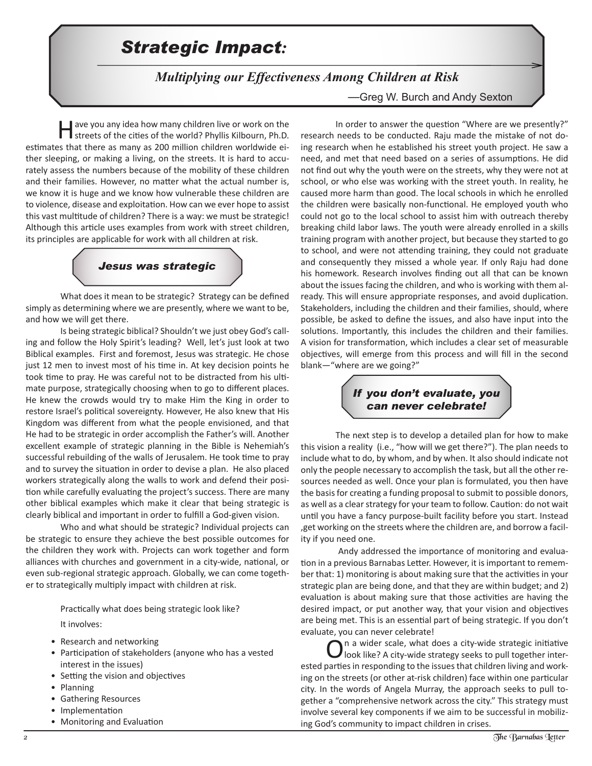### *<u>Strategic Impact</u>:*

 *Multiplying our Effectiveness Among Children at Risk*

—Greg W. Burch and Andy Sexton

Have you any idea how many children live or work on the streets of the cities of the world? Phyllis Kilbourn, Ph.D. estimates that there as many as 200 million children worldwide either sleeping, or making a living, on the streets. It is hard to accurately assess the numbers because of the mobility of these children and their families. However, no matter what the actual number is, we know it is huge and we know how vulnerable these children are to violence, disease and exploitation. How can we ever hope to assist this vast multitude of children? There is a way: we must be strategic! Although this article uses examples from work with street children, its principles are applicable for work with all children at risk.

### *Jesus was strategic*

What does it mean to be strategic? Strategy can be defined simply as determining where we are presently, where we want to be, and how we will get there.

Is being strategic biblical? Shouldn't we just obey God's calling and follow the Holy Spirit's leading? Well, let's just look at two Biblical examples. First and foremost, Jesus was strategic. He chose just 12 men to invest most of his time in. At key decision points he took time to pray. He was careful not to be distracted from his ultimate purpose, strategically choosing when to go to different places. He knew the crowds would try to make Him the King in order to restore Israel's political sovereignty. However, He also knew that His Kingdom was different from what the people envisioned, and that He had to be strategic in order accomplish the Father's will. Another excellent example of strategic planning in the Bible is Nehemiah's successful rebuilding of the walls of Jerusalem. He took time to pray and to survey the situation in order to devise a plan. He also placed workers strategically along the walls to work and defend their position while carefully evaluating the project's success. There are many other biblical examples which make it clear that being strategic is clearly biblical and important in order to fulfill a God-given vision.

Who and what should be strategic? Individual projects can be strategic to ensure they achieve the best possible outcomes for the children they work with. Projects can work together and form alliances with churches and government in a city-wide, national, or even sub-regional strategic approach. Globally, we can come together to strategically multiply impact with children at risk.

Practically what does being strategic look like?

It involves:

- Research and networking
- Participation of stakeholders (anyone who has a vested interest in the issues)
- Setting the vision and objectives
- Planning
- Gathering Resources
- Implementation
- Monitoring and Evaluation

In order to answer the question "Where are we presently?" research needs to be conducted. Raju made the mistake of not doing research when he established his street youth project. He saw a need, and met that need based on a series of assumptions. He did not find out why the youth were on the streets, why they were not at school, or who else was working with the street youth. In reality, he caused more harm than good. The local schools in which he enrolled the children were basically non-functional. He employed youth who could not go to the local school to assist him with outreach thereby breaking child labor laws. The youth were already enrolled in a skills training program with another project, but because they started to go to school, and were not attending training, they could not graduate and consequently they missed a whole year. If only Raju had done his homework. Research involves finding out all that can be known about the issues facing the children, and who is working with them already. This will ensure appropriate responses, and avoid duplication. Stakeholders, including the children and their families, should, where possible, be asked to define the issues, and also have input into the solutions. Importantly, this includes the children and their families. A vision for transformation, which includes a clear set of measurable objectives, will emerge from this process and will fill in the second blank―"where are we going?"

#### *If you don't evaluate, you can never celebrate!*

The next step is to develop a detailed plan for how to make this vision a reality (i.e., "how will we get there?"). The plan needs to include what to do, by whom, and by when. It also should indicate not only the people necessary to accomplish the task, but all the other resources needed as well. Once your plan is formulated, you then have the basis for creating a funding proposal to submit to possible donors, as well as a clear strategy for your team to follow. Caution: do not wait until you have a fancy purpose-built facility before you start. Instead ,get working on the streets where the children are, and borrow a facility if you need one.

 Andy addressed the importance of monitoring and evaluation in a previous Barnabas Letter. However, it is important to remember that: 1) monitoring is about making sure that the activities in your strategic plan are being done, and that they are within budget; and 2) evaluation is about making sure that those activities are having the desired impact, or put another way, that your vision and objectives are being met. This is an essential part of being strategic. If you don't evaluate, you can never celebrate!

 $\sum$ n a wider scale, what does a city-wide strategic initiative look like? A city-wide strategy seeks to pull together interested parties in responding to the issues that children living and working on the streets (or other at-risk children) face within one particular city. In the words of Angela Murray, the approach seeks to pull together a "comprehensive network across the city." This strategy must involve several key components if we aim to be successful in mobilizing God's community to impact children in crises.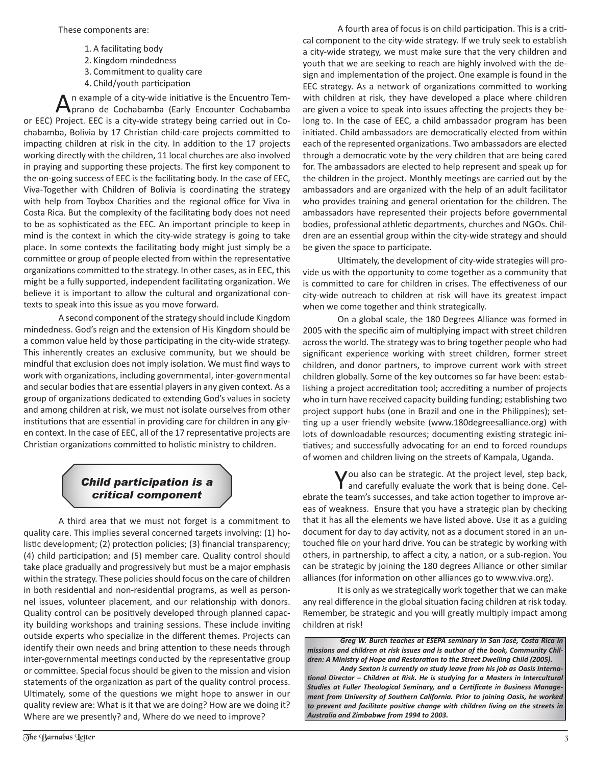- 1. A facilitating body
- 2. Kingdom mindedness
- 3. Commitment to quality care
- 4. Child/youth participation

n example of a city-wide initiative is the Encuentro Temprano de Cochabamba (Early Encounter Cochabamba or EEC) Project. EEC is a city-wide strategy being carried out in Cochabamba, Bolivia by 17 Christian child-care projects committed to impacting children at risk in the city. In addition to the 17 projects working directly with the children, 11 local churches are also involved in praying and supporting these projects. The first key component to the on-going success of EEC is the facilitating body. In the case of EEC, Viva-Together with Children of Bolivia is coordinating the strategy with help from Toybox Charities and the regional office for Viva in Costa Rica. But the complexity of the facilitating body does not need to be as sophisticated as the EEC. An important principle to keep in mind is the context in which the city-wide strategy is going to take place. In some contexts the facilitating body might just simply be a committee or group of people elected from within the representative organizations committed to the strategy. In other cases, as in EEC, this might be a fully supported, independent facilitating organization. We believe it is important to allow the cultural and organizational contexts to speak into this issue as you move forward.

A second component of the strategy should include Kingdom mindedness. God's reign and the extension of His Kingdom should be a common value held by those participating in the city-wide strategy. This inherently creates an exclusive community, but we should be mindful that exclusion does not imply isolation. We must find ways to work with organizations, including governmental, inter-governmental and secular bodies that are essential players in any given context. As a group of organizations dedicated to extending God's values in society and among children at risk, we must not isolate ourselves from other institutions that are essential in providing care for children in any given context. In the case of EEC, all of the 17 representative projects are Christian organizations committed to holistic ministry to children.

#### *Child participation is a critical component*

A third area that we must not forget is a commitment to quality care. This implies several concerned targets involving: (1) holistic development; (2) protection policies; (3) financial transparency; (4) child participation; and (5) member care. Quality control should take place gradually and progressively but must be a major emphasis within the strategy. These policies should focus on the care of children in both residential and non-residential programs, as well as personnel issues, volunteer placement, and our relationship with donors. Quality control can be positively developed through planned capacity building workshops and training sessions. These include inviting outside experts who specialize in the different themes. Projects can identify their own needs and bring attention to these needs through inter-governmental meetings conducted by the representative group or committee. Special focus should be given to the mission and vision statements of the organization as part of the quality control process. Ultimately, some of the questions we might hope to answer in our quality review are: What is it that we are doing? How are we doing it? Where are we presently? and, Where do we need to improve?

A fourth area of focus is on child participation. This is a critical component to the city-wide strategy. If we truly seek to establish a city-wide strategy, we must make sure that the very children and youth that we are seeking to reach are highly involved with the design and implementation of the project. One example is found in the EEC strategy. As a network of organizations committed to working with children at risk, they have developed a place where children are given a voice to speak into issues affecting the projects they belong to. In the case of EEC, a child ambassador program has been initiated. Child ambassadors are democratically elected from within each of the represented organizations. Two ambassadors are elected through a democratic vote by the very children that are being cared for. The ambassadors are elected to help represent and speak up for the children in the project. Monthly meetings are carried out by the ambassadors and are organized with the help of an adult facilitator who provides training and general orientation for the children. The ambassadors have represented their projects before governmental bodies, professional athletic departments, churches and NGOs. Children are an essential group within the city-wide strategy and should be given the space to participate.

Ultimately, the development of city-wide strategies will provide us with the opportunity to come together as a community that is committed to care for children in crises. The effectiveness of our city-wide outreach to children at risk will have its greatest impact when we come together and think strategically.

On a global scale, the 180 Degrees Alliance was formed in 2005 with the specific aim of multiplying impact with street children across the world. The strategy was to bring together people who had significant experience working with street children, former street children, and donor partners, to improve current work with street children globally. Some of the key outcomes so far have been: establishing a project accreditation tool; accrediting a number of projects who in turn have received capacity building funding; establishing two project support hubs (one in Brazil and one in the Philippines); setting up a user friendly website (www.180degreesalliance.org) with lots of downloadable resources; documenting existing strategic initiatives; and successfully advocating for an end to forced roundups of women and children living on the streets of Kampala, Uganda.

You also can be strategic. At the project level, step back, and carefully evaluate the work that is being done. Celebrate the team's successes, and take action together to improve areas of weakness. Ensure that you have a strategic plan by checking that it has all the elements we have listed above. Use it as a guiding document for day to day activity, not as a document stored in an untouched file on your hard drive. You can be strategic by working with others, in partnership, to affect a city, a nation, or a sub-region. You can be strategic by joining the 180 degrees Alliance or other similar alliances (for information on other alliances go to www.viva.org).

It is only as we strategically work together that we can make any real difference in the global situation facing children at risk today. Remember, be strategic and you will greatly multiply impact among children at risk!

*Greg W. Burch teaches at ESEPA seminary in San José, Costa Rica in missions and children at risk issues and is author of the book, Community Children: A Ministry of Hope and Restoration to the Street Dwelling Child (2005).* 

*Andy Sexton is currently on study leave from his job as Oasis International Director – Children at Risk. He is studying for a Masters in Intercultural Studies at Fuller Theological Seminary, and a Certificate in Business Management from University of Southern California. Prior to joining Oasis, he worked to prevent and facilitate positive change with children living on the streets in Australia and Zimbabwe from 1994 to 2003.*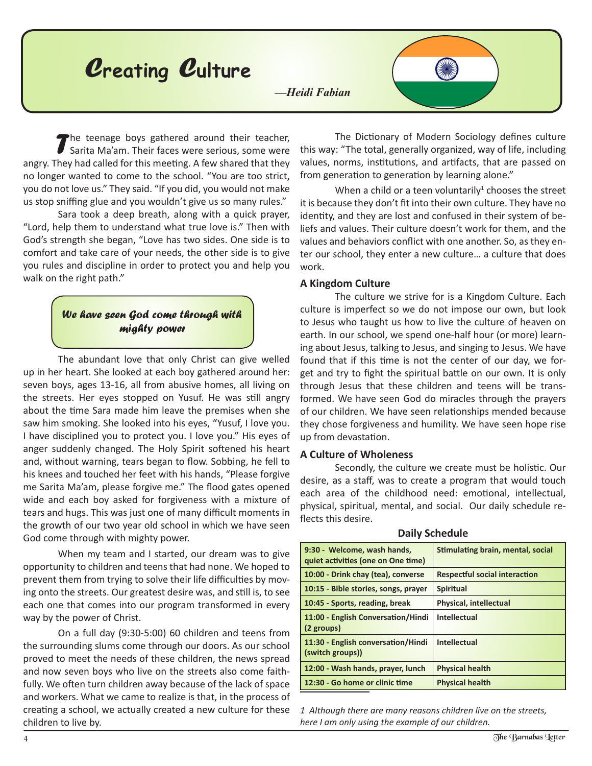

*T*he teenage boys gathered around their teacher, Sarita Ma'am. Their faces were serious, some were angry. They had called for this meeting. A few shared that they no longer wanted to come to the school. "You are too strict, you do not love us." They said. "If you did, you would not make us stop sniffing glue and you wouldn't give us so many rules."

Sara took a deep breath, along with a quick prayer, "Lord, help them to understand what true love is." Then with God's strength she began, "Love has two sides. One side is to comfort and take care of your needs, the other side is to give you rules and discipline in order to protect you and help you walk on the right path."

#### *We have seen God come through with mighty power*

The abundant love that only Christ can give welled up in her heart. She looked at each boy gathered around her: seven boys, ages 13-16, all from abusive homes, all living on the streets. Her eyes stopped on Yusuf. He was still angry about the time Sara made him leave the premises when she saw him smoking. She looked into his eyes, "Yusuf, I love you. I have disciplined you to protect you. I love you." His eyes of anger suddenly changed. The Holy Spirit softened his heart and, without warning, tears began to flow. Sobbing, he fell to his knees and touched her feet with his hands, "Please forgive me Sarita Ma'am, please forgive me." The flood gates opened wide and each boy asked for forgiveness with a mixture of tears and hugs. This was just one of many difficult moments in the growth of our two year old school in which we have seen God come through with mighty power.

When my team and I started, our dream was to give opportunity to children and teens that had none. We hoped to prevent them from trying to solve their life difficulties by moving onto the streets. Our greatest desire was, and still is, to see each one that comes into our program transformed in every way by the power of Christ.

On a full day (9:30-5:00) 60 children and teens from the surrounding slums come through our doors. As our school proved to meet the needs of these children, the news spread and now seven boys who live on the streets also come faithfully. We often turn children away because of the lack of space and workers. What we came to realize is that, in the process of creating a school, we actually created a new culture for these children to live by.

The Dictionary of Modern Sociology defines culture this way: "The total, generally organized, way of life, including values, norms, institutions, and artifacts, that are passed on from generation to generation by learning alone."

When a child or a teen voluntarily $1$  chooses the street it is because they don't fit into their own culture. They have no identity, and they are lost and confused in their system of beliefs and values. Their culture doesn't work for them, and the values and behaviors conflict with one another. So, as they enter our school, they enter a new culture… a culture that does work.

#### **A Kingdom Culture**

The culture we strive for is a Kingdom Culture. Each culture is imperfect so we do not impose our own, but look to Jesus who taught us how to live the culture of heaven on earth. In our school, we spend one-half hour (or more) learning about Jesus, talking to Jesus, and singing to Jesus. We have found that if this time is not the center of our day, we forget and try to fight the spiritual battle on our own. It is only through Jesus that these children and teens will be transformed. We have seen God do miracles through the prayers of our children. We have seen relationships mended because they chose forgiveness and humility. We have seen hope rise up from devastation.

#### **A Culture of Wholeness**

Secondly, the culture we create must be holistic. Our desire, as a staff, was to create a program that would touch each area of the childhood need: emotional, intellectual, physical, spiritual, mental, and social. Our daily schedule reflects this desire.

| 9:30 - Welcome, wash hands,<br>quiet activities (one on One time) | <b>Stimulating brain, mental, social</b> |
|-------------------------------------------------------------------|------------------------------------------|
| 10:00 - Drink chay (tea), converse                                | <b>Respectful social interaction</b>     |
| 10:15 - Bible stories, songs, prayer                              | <b>Spiritual</b>                         |
| 10:45 - Sports, reading, break                                    | <b>Physical, intellectual</b>            |
| 11:00 - English Conversation/Hindi<br>(2 groups)                  | <b>Intellectual</b>                      |
| 11:30 - English conversation/Hindi<br>(switch groups))            | <b>Intellectual</b>                      |
| 12:00 - Wash hands, prayer, lunch                                 | <b>Physical health</b>                   |
| 12:30 - Go home or clinic time                                    | <b>Physical health</b>                   |

#### **Daily Schedule**

 *Although there are many reasons children live on the streets, here I am only using the example of our children.*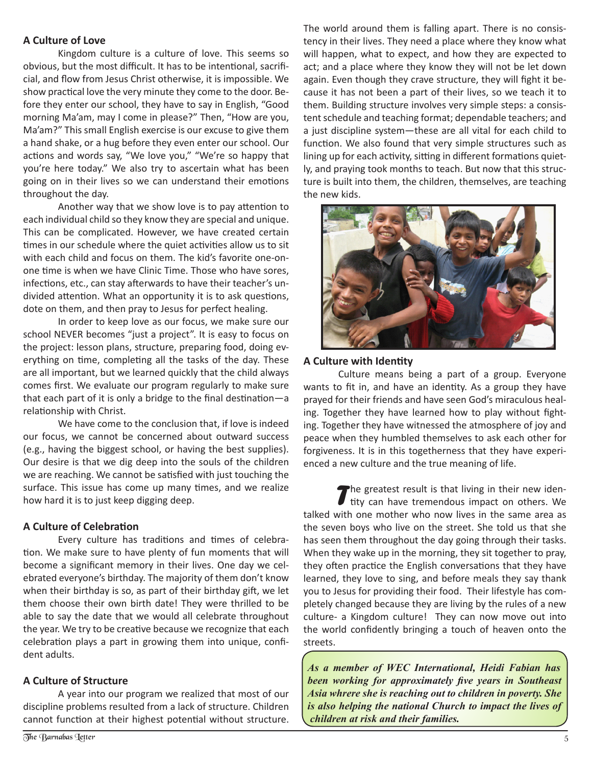#### **A Culture of Love**

Kingdom culture is a culture of love. This seems so obvious, but the most difficult. It has to be intentional, sacrificial, and flow from Jesus Christ otherwise, it is impossible. We show practical love the very minute they come to the door. Before they enter our school, they have to say in English, "Good morning Ma'am, may I come in please?" Then, "How are you, Ma'am?" This small English exercise is our excuse to give them a hand shake, or a hug before they even enter our school. Our actions and words say, "We love you," "We're so happy that you're here today." We also try to ascertain what has been going on in their lives so we can understand their emotions throughout the day.

Another way that we show love is to pay attention to each individual child so they know they are special and unique. This can be complicated. However, we have created certain times in our schedule where the quiet activities allow us to sit with each child and focus on them. The kid's favorite one-onone time is when we have Clinic Time. Those who have sores, infections, etc., can stay afterwards to have their teacher's undivided attention. What an opportunity it is to ask questions, dote on them, and then pray to Jesus for perfect healing.

In order to keep love as our focus, we make sure our school NEVER becomes "just a project". It is easy to focus on the project: lesson plans, structure, preparing food, doing everything on time, completing all the tasks of the day. These are all important, but we learned quickly that the child always comes first. We evaluate our program regularly to make sure that each part of it is only a bridge to the final destination―a relationship with Christ.

We have come to the conclusion that, if love is indeed our focus, we cannot be concerned about outward success (e.g., having the biggest school, or having the best supplies). Our desire is that we dig deep into the souls of the children we are reaching. We cannot be satisfied with just touching the surface. This issue has come up many times, and we realize how hard it is to just keep digging deep.

#### **A Culture of Celebration**

Every culture has traditions and times of celebration. We make sure to have plenty of fun moments that will become a significant memory in their lives. One day we celebrated everyone's birthday. The majority of them don't know when their birthday is so, as part of their birthday gift, we let them choose their own birth date! They were thrilled to be able to say the date that we would all celebrate throughout the year. We try to be creative because we recognize that each celebration plays a part in growing them into unique, confident adults.

#### **A Culture of Structure**

A year into our program we realized that most of our discipline problems resulted from a lack of structure. Children cannot function at their highest potential without structure. The world around them is falling apart. There is no consistency in their lives. They need a place where they know what will happen, what to expect, and how they are expected to act; and a place where they know they will not be let down again. Even though they crave structure, they will fight it because it has not been a part of their lives, so we teach it to them. Building structure involves very simple steps: a consistent schedule and teaching format; dependable teachers; and a just discipline system―these are all vital for each child to function. We also found that very simple structures such as lining up for each activity, sitting in different formations quietly, and praying took months to teach. But now that this structure is built into them, the children, themselves, are teaching the new kids.



#### **A Culture with Identity**

Culture means being a part of a group. Everyone wants to fit in, and have an identity. As a group they have prayed for their friends and have seen God's miraculous healing. Together they have learned how to play without fighting. Together they have witnessed the atmosphere of joy and peace when they humbled themselves to ask each other for forgiveness. It is in this togetherness that they have experienced a new culture and the true meaning of life.

*T*he greatest result is that living in their new iden-I tity can have tremendous impact on others. We talked with one mother who now lives in the same area as the seven boys who live on the street. She told us that she has seen them throughout the day going through their tasks. When they wake up in the morning, they sit together to pray, they often practice the English conversations that they have learned, they love to sing, and before meals they say thank you to Jesus for providing their food. Their lifestyle has completely changed because they are living by the rules of a new culture- a Kingdom culture! They can now move out into the world confidently bringing a touch of heaven onto the streets.

*As a member of WEC International, Heidi Fabian has been working for approximately five years in Southeast Asia whrere she is reaching out to children in poverty. She is also helping the national Church to impact the lives of children at risk and their families.*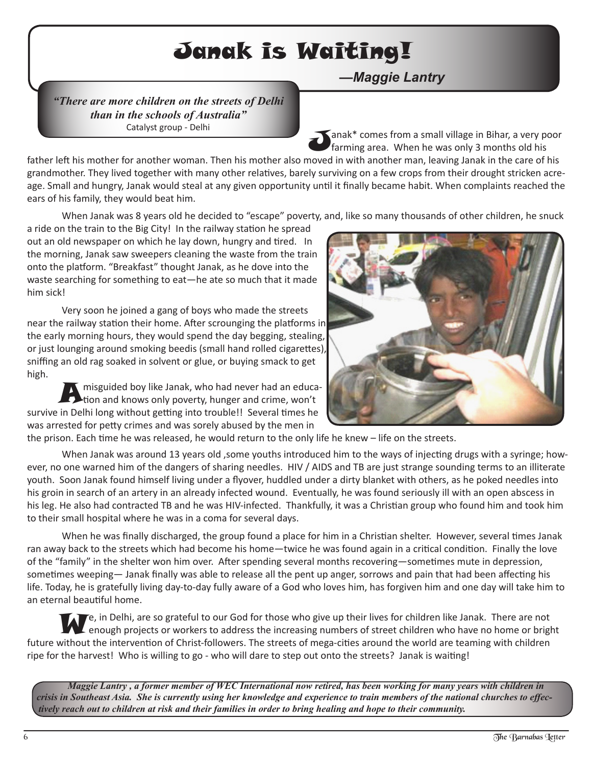## Janak is Waiting!

*—Maggie Lantry*

*"There are more children on the streets of Delhi than in the schools of Australia"* Catalyst group - Delhi

Janak\* comes from a small village in Bihar, a very poor farming area. When he was only 3 months old his

father left his mother for another woman. Then his mother also moved in with another man, leaving Janak in the care of his grandmother. They lived together with many other relatives, barely surviving on a few crops from their drought stricken acreage. Small and hungry, Janak would steal at any given opportunity until it finally became habit. When complaints reached the ears of his family, they would beat him.

When Janak was 8 years old he decided to "escape" poverty, and, like so many thousands of other children, he snuck

a ride on the train to the Big City! In the railway station he spread out an old newspaper on which he lay down, hungry and tired. In the morning, Janak saw sweepers cleaning the waste from the train onto the platform. "Breakfast" thought Janak, as he dove into the waste searching for something to eat―he ate so much that it made him sick!

Very soon he joined a gang of boys who made the streets near the railway station their home. After scrounging the platforms in the early morning hours, they would spend the day begging, stealing, or just lounging around smoking beedis (small hand rolled cigarettes), sniffing an old rag soaked in solvent or glue, or buying smack to get high.

Amisguided boy like Janak, who had never had an educa- $\blacktriangle$ tion and knows only poverty, hunger and crime, won't survive in Delhi long without getting into trouble!! Several times he was arrested for petty crimes and was sorely abused by the men in



the prison. Each time he was released, he would return to the only life he knew – life on the streets.

When Janak was around 13 years old ,some youths introduced him to the ways of injecting drugs with a syringe; however, no one warned him of the dangers of sharing needles. HIV / AIDS and TB are just strange sounding terms to an illiterate youth. Soon Janak found himself living under a flyover, huddled under a dirty blanket with others, as he poked needles into his groin in search of an artery in an already infected wound. Eventually, he was found seriously ill with an open abscess in his leg. He also had contracted TB and he was HIV-infected. Thankfully, it was a Christian group who found him and took him to their small hospital where he was in a coma for several days.

When he was finally discharged, the group found a place for him in a Christian shelter. However, several times Janak ran away back to the streets which had become his home―twice he was found again in a critical condition. Finally the love of the "family" in the shelter won him over. After spending several months recovering―sometimes mute in depression, sometimes weeping— Janak finally was able to release all the pent up anger, sorrows and pain that had been affecting his life. Today, he is gratefully living day-to-day fully aware of a God who loves him, has forgiven him and one day will take him to an eternal beautiful home.

Te, in Delhi, are so grateful to our God for those who give up their lives for children like Janak. There are not enough projects or workers to address the increasing numbers of street children who have no home or bright future without the intervention of Christ-followers. The streets of mega-cities around the world are teaming with children ripe for the harvest! Who is willing to go - who will dare to step out onto the streets? Janak is waiting!

Maggie Lantry, a former member of WEC International now retired, has been working for many years with children in *crisis in Southeast Asia. She is currently using her knowledge and experience to train members of the national churches to effec*tively reach out to children at risk and their families in order to bring healing and hope to their community.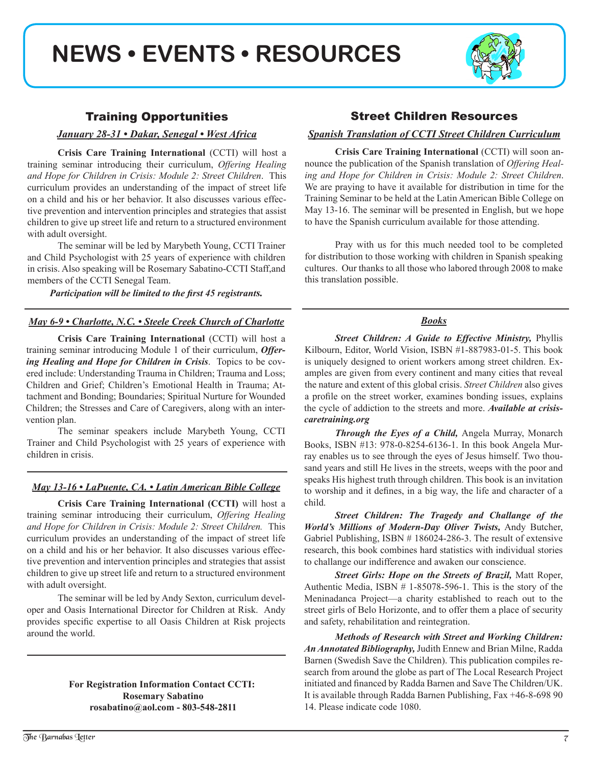## **NEWS • EVENTS • RESOURCES**



#### Training Opportunities

*January 28-31 • Dakar, Senegal • West Africa*

**Crisis Care Training International** (CCTI) will host a training seminar introducing their curriculum, *Offering Healing and Hope for Children in Crisis: Module 2: Street Children*. This curriculum provides an understanding of the impact of street life on a child and his or her behavior. It also discusses various effective prevention and intervention principles and strategies that assist children to give up street life and return to a structured environment with adult oversight.

The seminar will be led by Marybeth Young, CCTI Trainer and Child Psychologist with 25 years of experience with children in crisis. Also speaking will be Rosemary Sabatino-CCTI Staff,and members of the CCTI Senegal Team.

*Participation will be limited to the first 45 registrants.*

#### *May 6-9 • Charlotte, N.C. • Steele Creek Church of Charlotte*

**Crisis Care Training International** (CCTI) will host a training seminar introducing Module 1 of their curriculum, *Offering Healing and Hope for Children in Crisis*. Topics to be covered include: Understanding Trauma in Children; Trauma and Loss; Children and Grief; Children's Emotional Health in Trauma; Attachment and Bonding; Boundaries; Spiritual Nurture for Wounded Children; the Stresses and Care of Caregivers, along with an intervention plan.

The seminar speakers include Marybeth Young, CCTI Trainer and Child Psychologist with 25 years of experience with children in crisis.

#### *May 13-16 • LaPuente, CA. • Latin American Bible College*

**Crisis Care Training International (CCTI)** will host a training seminar introducing their curriculum, *Offering Healing and Hope for Children in Crisis: Module 2: Street Children.* This curriculum provides an understanding of the impact of street life on a child and his or her behavior. It also discusses various effective prevention and intervention principles and strategies that assist children to give up street life and return to a structured environment with adult oversight.

The seminar will be led by Andy Sexton, curriculum developer and Oasis International Director for Children at Risk. Andy provides specific expertise to all Oasis Children at Risk projects around the world.

#### **For Registration Information Contact CCTI: Rosemary Sabatino rosabatino@aol.com - 803-548-2811**

#### Street Children Resources

#### *Spanish Translation of CCTI Street Children Curriculum*

**Crisis Care Training International** (CCTI) will soon announce the publication of the Spanish translation of *Offering Healing and Hope for Children in Crisis: Module 2: Street Children*. We are praying to have it available for distribution in time for the Training Seminar to be held at the Latin American Bible College on May 13-16. The seminar will be presented in English, but we hope to have the Spanish curriculum available for those attending.

Pray with us for this much needed tool to be completed for distribution to those working with children in Spanish speaking cultures. Our thanks to all those who labored through 2008 to make this translation possible.

#### *Books*

*Street Children: A Guide to Effective Ministry,* Phyllis Kilbourn, Editor, World Vision, ISBN #1-887983-01-5. This book is uniquely designed to orient workers among street children. Examples are given from every continent and many cities that reveal the nature and extent of this global crisis. *Street Children* also gives a profile on the street worker, examines bonding issues, explains the cycle of addiction to the streets and more. *Available at crisiscaretraining.org*

 *Through the Eyes of a Child,* Angela Murray, Monarch Books, ISBN #13: 978-0-8254-6136-1. In this book Angela Murray enables us to see through the eyes of Jesus himself. Two thousand years and still He lives in the streets, weeps with the poor and speaks His highest truth through children. This book is an invitation to worship and it defines, in a big way, the life and character of a child.

*Street Children: The Tragedy and Challange of the World's Millions of Modern-Day Oliver Twists,* Andy Butcher, Gabriel Publishing, ISBN # 186024-286-3. The result of extensive research, this book combines hard statistics with individual stories to challange our indifference and awaken our conscience.

*Street Girls: Hope on the Streets of Brazil,* Matt Roper, Authentic Media, ISBN # 1-85078-596-1. This is the story of the Meninadanca Project—a charity established to reach out to the street girls of Belo Horizonte, and to offer them a place of security and safety, rehabilitation and reintegration.

*Methods of Research with Street and Working Children: AnAnnotated Bibliography,* Judith Ennew and Brian Milne, Radda Barnen (Swedish Save the Children). This publication compiles research from around the globe as part of The Local Research Project initiated and financed by Radda Barnen and Save The Children/UK. It is available through Radda Barnen Publishing, Fax +46-8-698 90 14. Please indicate code 1080.